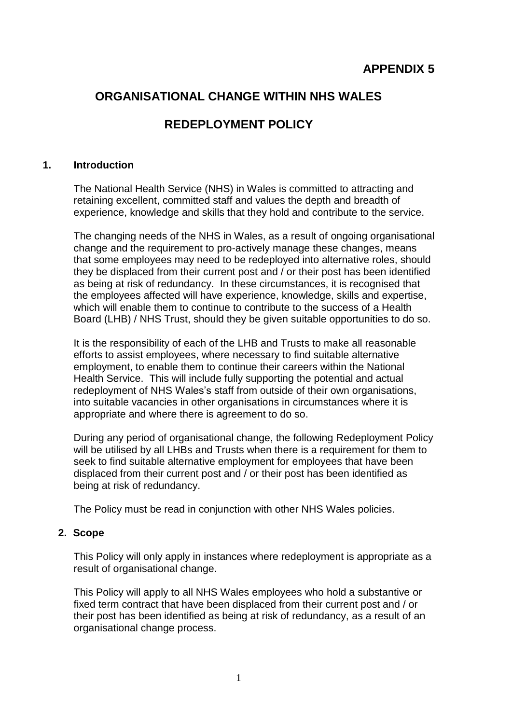# **APPENDIX 5**

# **ORGANISATIONAL CHANGE WITHIN NHS WALES**

## **REDEPLOYMENT POLICY**

#### **1. Introduction**

The National Health Service (NHS) in Wales is committed to attracting and retaining excellent, committed staff and values the depth and breadth of experience, knowledge and skills that they hold and contribute to the service.

The changing needs of the NHS in Wales, as a result of ongoing organisational change and the requirement to pro-actively manage these changes, means that some employees may need to be redeployed into alternative roles, should they be displaced from their current post and / or their post has been identified as being at risk of redundancy. In these circumstances, it is recognised that the employees affected will have experience, knowledge, skills and expertise, which will enable them to continue to contribute to the success of a Health Board (LHB) / NHS Trust, should they be given suitable opportunities to do so.

It is the responsibility of each of the LHB and Trusts to make all reasonable efforts to assist employees, where necessary to find suitable alternative employment, to enable them to continue their careers within the National Health Service. This will include fully supporting the potential and actual redeployment of NHS Wales's staff from outside of their own organisations, into suitable vacancies in other organisations in circumstances where it is appropriate and where there is agreement to do so.

During any period of organisational change, the following Redeployment Policy will be utilised by all LHBs and Trusts when there is a requirement for them to seek to find suitable alternative employment for employees that have been displaced from their current post and / or their post has been identified as being at risk of redundancy.

The Policy must be read in conjunction with other NHS Wales policies.

#### **2. Scope**

This Policy will only apply in instances where redeployment is appropriate as a result of organisational change.

This Policy will apply to all NHS Wales employees who hold a substantive or fixed term contract that have been displaced from their current post and / or their post has been identified as being at risk of redundancy, as a result of an organisational change process.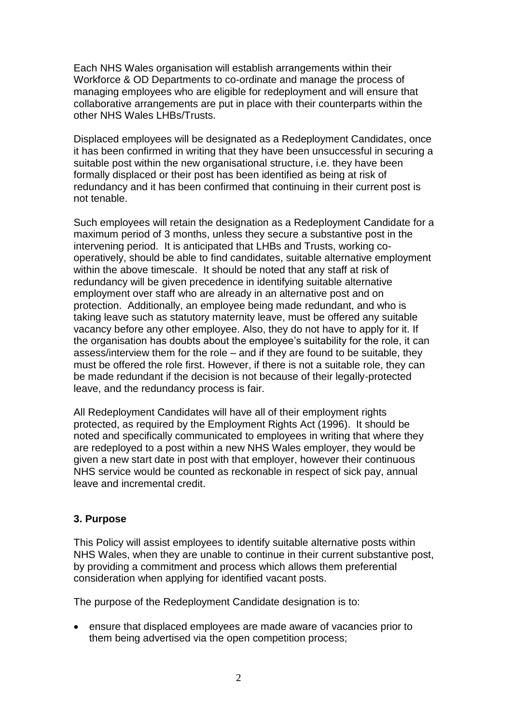Each NHS Wales organisation will establish arrangements within their Workforce & OD Departments to co-ordinate and manage the process of managing employees who are eligible for redeployment and will ensure that collaborative arrangements are put in place with their counterparts within the other NHS Wales LHBs/Trusts.

Displaced employees will be designated as a Redeployment Candidates, once it has been confirmed in writing that they have been unsuccessful in securing a suitable post within the new organisational structure, i.e. they have been formally displaced or their post has been identified as being at risk of redundancy and it has been confirmed that continuing in their current post is not tenable.

Such employees will retain the designation as a Redeployment Candidate for a maximum period of 3 months, unless they secure a substantive post in the intervening period. It is anticipated that LHBs and Trusts, working cooperatively, should be able to find candidates, suitable alternative employment within the above timescale. It should be noted that any staff at risk of redundancy will be given precedence in identifying suitable alternative employment over staff who are already in an alternative post and on protection. Additionally, an employee being made redundant, and who is taking leave such as statutory maternity leave, must be offered any suitable vacancy before any other employee. Also, they do not have to apply for it. If the organisation has doubts about the employee's suitability for the role, it can assess/interview them for the role – and if they are found to be suitable, they must be offered the role first. However, if there is not a suitable role, they can be made redundant if the decision is not because of their legally-protected leave, and the redundancy process is fair.

All Redeployment Candidates will have all of their employment rights protected, as required by the Employment Rights Act (1996). It should be noted and specifically communicated to employees in writing that where they are redeployed to a post within a new NHS Wales employer, they would be given a new start date in post with that employer, however their continuous NHS service would be counted as reckonable in respect of sick pay, annual leave and incremental credit.

## **3. Purpose**

This Policy will assist employees to identify suitable alternative posts within NHS Wales, when they are unable to continue in their current substantive post, by providing a commitment and process which allows them preferential consideration when applying for identified vacant posts.

The purpose of the Redeployment Candidate designation is to:

• ensure that displaced employees are made aware of vacancies prior to them being advertised via the open competition process;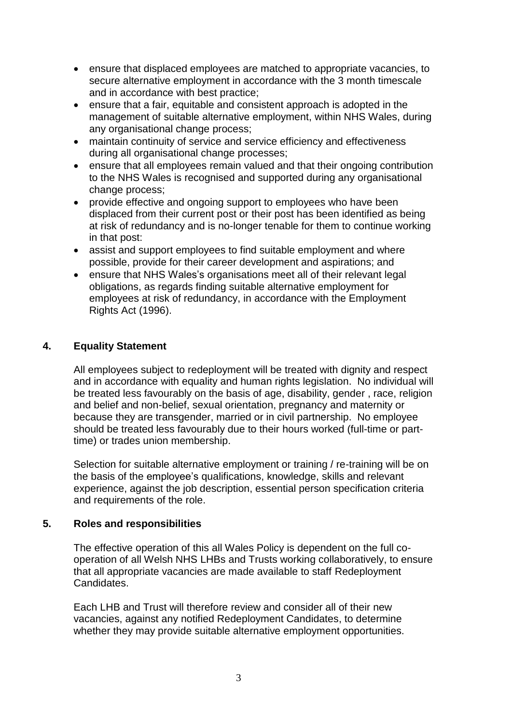- ensure that displaced employees are matched to appropriate vacancies, to secure alternative employment in accordance with the 3 month timescale and in accordance with best practice;
- ensure that a fair, equitable and consistent approach is adopted in the management of suitable alternative employment, within NHS Wales, during any organisational change process;
- maintain continuity of service and service efficiency and effectiveness during all organisational change processes;
- ensure that all employees remain valued and that their ongoing contribution to the NHS Wales is recognised and supported during any organisational change process;
- provide effective and ongoing support to employees who have been displaced from their current post or their post has been identified as being at risk of redundancy and is no-longer tenable for them to continue working in that post:
- assist and support employees to find suitable employment and where possible, provide for their career development and aspirations; and
- ensure that NHS Wales's organisations meet all of their relevant legal obligations, as regards finding suitable alternative employment for employees at risk of redundancy, in accordance with the Employment Rights Act (1996).

## **4. Equality Statement**

All employees subject to redeployment will be treated with dignity and respect and in accordance with equality and human rights legislation. No individual will be treated less favourably on the basis of age, disability, gender , race, religion and belief and non-belief, sexual orientation, pregnancy and maternity or because they are transgender, married or in civil partnership. No employee should be treated less favourably due to their hours worked (full-time or parttime) or trades union membership.

Selection for suitable alternative employment or training / re-training will be on the basis of the employee's qualifications, knowledge, skills and relevant experience, against the job description, essential person specification criteria and requirements of the role.

#### **5. Roles and responsibilities**

The effective operation of this all Wales Policy is dependent on the full cooperation of all Welsh NHS LHBs and Trusts working collaboratively, to ensure that all appropriate vacancies are made available to staff Redeployment Candidates.

Each LHB and Trust will therefore review and consider all of their new vacancies, against any notified Redeployment Candidates, to determine whether they may provide suitable alternative employment opportunities.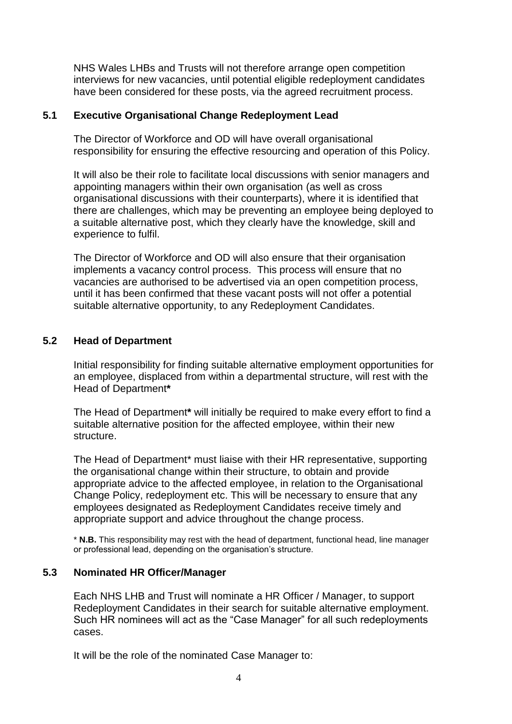NHS Wales LHBs and Trusts will not therefore arrange open competition interviews for new vacancies, until potential eligible redeployment candidates have been considered for these posts, via the agreed recruitment process.

#### **5.1 Executive Organisational Change Redeployment Lead**

The Director of Workforce and OD will have overall organisational responsibility for ensuring the effective resourcing and operation of this Policy.

It will also be their role to facilitate local discussions with senior managers and appointing managers within their own organisation (as well as cross organisational discussions with their counterparts), where it is identified that there are challenges, which may be preventing an employee being deployed to a suitable alternative post, which they clearly have the knowledge, skill and experience to fulfil.

The Director of Workforce and OD will also ensure that their organisation implements a vacancy control process. This process will ensure that no vacancies are authorised to be advertised via an open competition process, until it has been confirmed that these vacant posts will not offer a potential suitable alternative opportunity, to any Redeployment Candidates.

### **5.2 Head of Department**

Initial responsibility for finding suitable alternative employment opportunities for an employee, displaced from within a departmental structure, will rest with the Head of Department**\*** 

The Head of Department**\*** will initially be required to make every effort to find a suitable alternative position for the affected employee, within their new structure.

The Head of Department\* must liaise with their HR representative, supporting the organisational change within their structure, to obtain and provide appropriate advice to the affected employee, in relation to the Organisational Change Policy, redeployment etc. This will be necessary to ensure that any employees designated as Redeployment Candidates receive timely and appropriate support and advice throughout the change process.

\* **N.B.** This responsibility may rest with the head of department, functional head, line manager or professional lead, depending on the organisation's structure.

#### **5.3 Nominated HR Officer/Manager**

Each NHS LHB and Trust will nominate a HR Officer / Manager, to support Redeployment Candidates in their search for suitable alternative employment. Such HR nominees will act as the "Case Manager" for all such redeployments cases.

It will be the role of the nominated Case Manager to: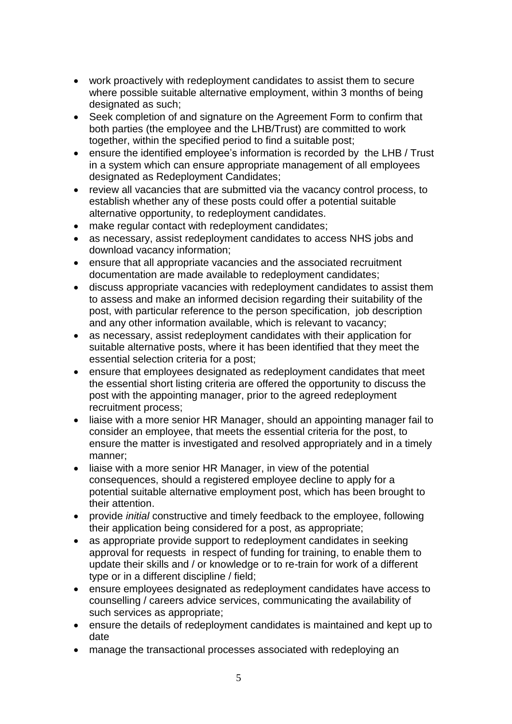- work proactively with redeployment candidates to assist them to secure where possible suitable alternative employment, within 3 months of being designated as such;
- Seek completion of and signature on the Agreement Form to confirm that both parties (the employee and the LHB/Trust) are committed to work together, within the specified period to find a suitable post;
- ensure the identified employee's information is recorded by the LHB / Trust in a system which can ensure appropriate management of all employees designated as Redeployment Candidates;
- review all vacancies that are submitted via the vacancy control process, to establish whether any of these posts could offer a potential suitable alternative opportunity, to redeployment candidates.
- make regular contact with redeployment candidates;
- as necessary, assist redeployment candidates to access NHS jobs and download vacancy information;
- ensure that all appropriate vacancies and the associated recruitment documentation are made available to redeployment candidates;
- discuss appropriate vacancies with redeployment candidates to assist them to assess and make an informed decision regarding their suitability of the post, with particular reference to the person specification, job description and any other information available, which is relevant to vacancy;
- as necessary, assist redeployment candidates with their application for suitable alternative posts, where it has been identified that they meet the essential selection criteria for a post;
- ensure that employees designated as redeployment candidates that meet the essential short listing criteria are offered the opportunity to discuss the post with the appointing manager, prior to the agreed redeployment recruitment process;
- liaise with a more senior HR Manager, should an appointing manager fail to consider an employee, that meets the essential criteria for the post, to ensure the matter is investigated and resolved appropriately and in a timely manner;
- liaise with a more senior HR Manager, in view of the potential consequences, should a registered employee decline to apply for a potential suitable alternative employment post, which has been brought to their attention.
- provide *initial* constructive and timely feedback to the employee, following their application being considered for a post, as appropriate;
- as appropriate provide support to redeployment candidates in seeking approval for requests in respect of funding for training, to enable them to update their skills and / or knowledge or to re-train for work of a different type or in a different discipline / field;
- ensure employees designated as redeployment candidates have access to counselling / careers advice services, communicating the availability of such services as appropriate;
- ensure the details of redeployment candidates is maintained and kept up to date
- manage the transactional processes associated with redeploying an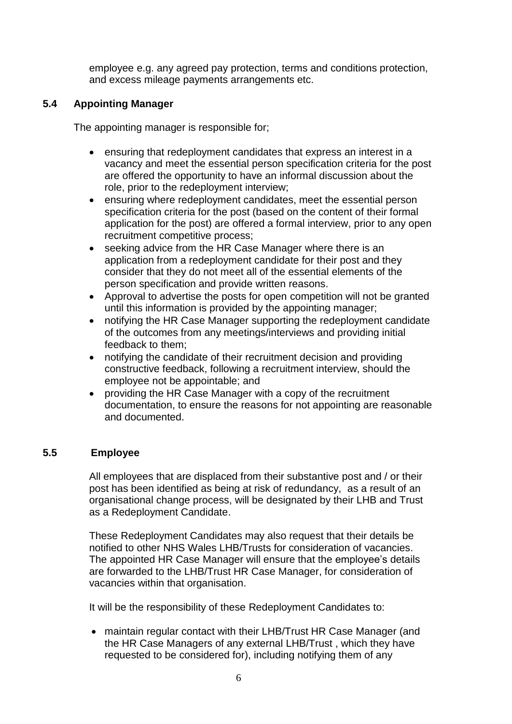employee e.g. any agreed pay protection, terms and conditions protection, and excess mileage payments arrangements etc.

## **5.4 Appointing Manager**

The appointing manager is responsible for;

- ensuring that redeployment candidates that express an interest in a vacancy and meet the essential person specification criteria for the post are offered the opportunity to have an informal discussion about the role, prior to the redeployment interview;
- ensuring where redeployment candidates, meet the essential person specification criteria for the post (based on the content of their formal application for the post) are offered a formal interview, prior to any open recruitment competitive process;
- seeking advice from the HR Case Manager where there is an application from a redeployment candidate for their post and they consider that they do not meet all of the essential elements of the person specification and provide written reasons.
- Approval to advertise the posts for open competition will not be granted until this information is provided by the appointing manager;
- notifying the HR Case Manager supporting the redeployment candidate of the outcomes from any meetings/interviews and providing initial feedback to them;
- notifying the candidate of their recruitment decision and providing constructive feedback, following a recruitment interview, should the employee not be appointable; and
- providing the HR Case Manager with a copy of the recruitment documentation, to ensure the reasons for not appointing are reasonable and documented.

#### **5.5 Employee**

All employees that are displaced from their substantive post and / or their post has been identified as being at risk of redundancy, as a result of an organisational change process, will be designated by their LHB and Trust as a Redeployment Candidate.

These Redeployment Candidates may also request that their details be notified to other NHS Wales LHB/Trusts for consideration of vacancies. The appointed HR Case Manager will ensure that the employee's details are forwarded to the LHB/Trust HR Case Manager, for consideration of vacancies within that organisation.

It will be the responsibility of these Redeployment Candidates to:

• maintain regular contact with their LHB/Trust HR Case Manager (and the HR Case Managers of any external LHB/Trust , which they have requested to be considered for), including notifying them of any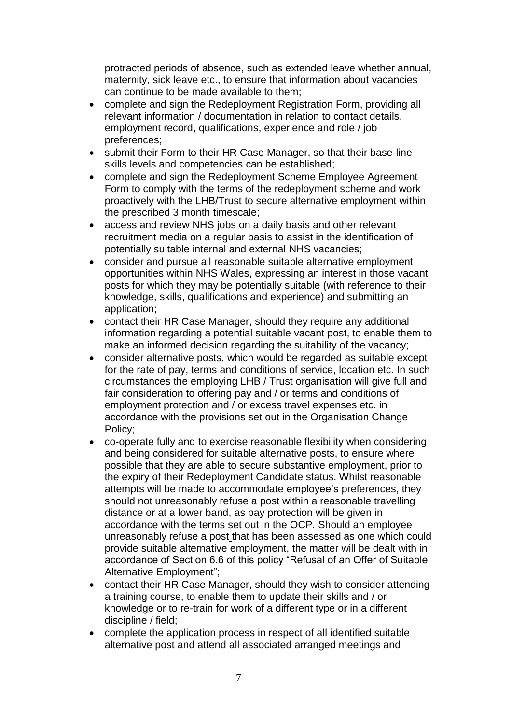protracted periods of absence, such as extended leave whether annual, maternity, sick leave etc., to ensure that information about vacancies can continue to be made available to them;

- complete and sign the Redeployment Registration Form, providing all relevant information / documentation in relation to contact details, employment record, qualifications, experience and role / job preferences;
- submit their Form to their HR Case Manager, so that their base-line skills levels and competencies can be established;
- complete and sign the Redeployment Scheme Employee Agreement Form to comply with the terms of the redeployment scheme and work proactively with the LHB/Trust to secure alternative employment within the prescribed 3 month timescale;
- access and review NHS jobs on a daily basis and other relevant recruitment media on a regular basis to assist in the identification of potentially suitable internal and external NHS vacancies;
- consider and pursue all reasonable suitable alternative employment opportunities within NHS Wales, expressing an interest in those vacant posts for which they may be potentially suitable (with reference to their knowledge, skills, qualifications and experience) and submitting an application;
- contact their HR Case Manager, should they require any additional information regarding a potential suitable vacant post, to enable them to make an informed decision regarding the suitability of the vacancy;
- consider alternative posts, which would be regarded as suitable except for the rate of pay, terms and conditions of service, location etc. In such circumstances the employing LHB / Trust organisation will give full and fair consideration to offering pay and / or terms and conditions of employment protection and / or excess travel expenses etc. in accordance with the provisions set out in the Organisation Change Policy;
- co-operate fully and to exercise reasonable flexibility when considering and being considered for suitable alternative posts, to ensure where possible that they are able to secure substantive employment, prior to the expiry of their Redeployment Candidate status. Whilst reasonable attempts will be made to accommodate employee's preferences, they should not unreasonably refuse a post within a reasonable travelling distance or at a lower band, as pay protection will be given in accordance with the terms set out in the OCP. Should an employee unreasonably refuse a post that has been assessed as one which could provide suitable alternative employment, the matter will be dealt with in accordance of Section 6.6 of this policy "Refusal of an Offer of Suitable Alternative Employment";
- contact their HR Case Manager, should they wish to consider attending a training course, to enable them to update their skills and / or knowledge or to re-train for work of a different type or in a different discipline / field;
- complete the application process in respect of all identified suitable alternative post and attend all associated arranged meetings and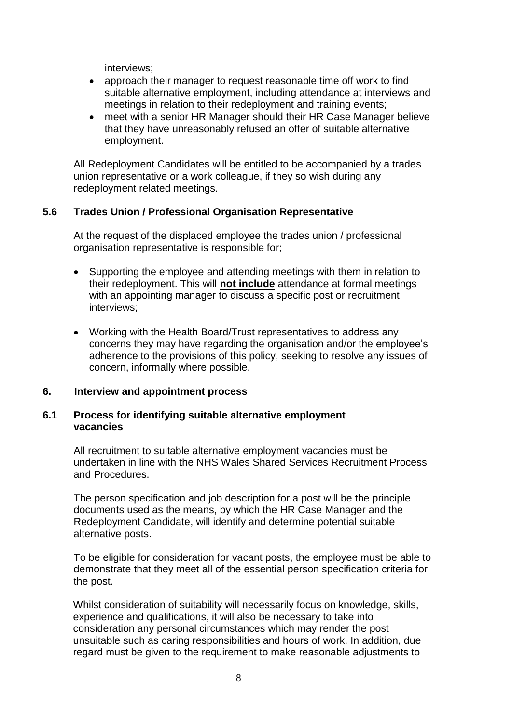interviews;

- approach their manager to request reasonable time off work to find suitable alternative employment, including attendance at interviews and meetings in relation to their redeployment and training events;
- meet with a senior HR Manager should their HR Case Manager believe that they have unreasonably refused an offer of suitable alternative employment.

All Redeployment Candidates will be entitled to be accompanied by a trades union representative or a work colleague, if they so wish during any redeployment related meetings.

#### **5.6 Trades Union / Professional Organisation Representative**

At the request of the displaced employee the trades union / professional organisation representative is responsible for;

- Supporting the employee and attending meetings with them in relation to their redeployment. This will **not include** attendance at formal meetings with an appointing manager to discuss a specific post or recruitment interviews;
- Working with the Health Board/Trust representatives to address any concerns they may have regarding the organisation and/or the employee's adherence to the provisions of this policy, seeking to resolve any issues of concern, informally where possible.

#### **6. Interview and appointment process**

#### **6.1 Process for identifying suitable alternative employment vacancies**

All recruitment to suitable alternative employment vacancies must be undertaken in line with the NHS Wales Shared Services Recruitment Process and Procedures.

The person specification and job description for a post will be the principle documents used as the means, by which the HR Case Manager and the Redeployment Candidate, will identify and determine potential suitable alternative posts.

To be eligible for consideration for vacant posts, the employee must be able to demonstrate that they meet all of the essential person specification criteria for the post.

Whilst consideration of suitability will necessarily focus on knowledge, skills, experience and qualifications, it will also be necessary to take into consideration any personal circumstances which may render the post unsuitable such as caring responsibilities and hours of work. In addition, due regard must be given to the requirement to make reasonable adjustments to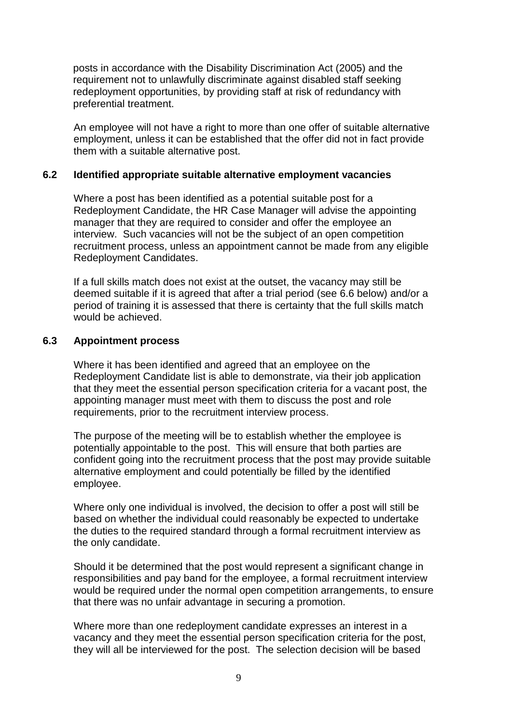posts in accordance with the Disability Discrimination Act (2005) and the requirement not to unlawfully discriminate against disabled staff seeking redeployment opportunities, by providing staff at risk of redundancy with preferential treatment.

An employee will not have a right to more than one offer of suitable alternative employment, unless it can be established that the offer did not in fact provide them with a suitable alternative post.

#### **6.2 Identified appropriate suitable alternative employment vacancies**

Where a post has been identified as a potential suitable post for a Redeployment Candidate, the HR Case Manager will advise the appointing manager that they are required to consider and offer the employee an interview. Such vacancies will not be the subject of an open competition recruitment process, unless an appointment cannot be made from any eligible Redeployment Candidates.

If a full skills match does not exist at the outset, the vacancy may still be deemed suitable if it is agreed that after a trial period (see 6.6 below) and/or a period of training it is assessed that there is certainty that the full skills match would be achieved.

#### **6.3 Appointment process**

Where it has been identified and agreed that an employee on the Redeployment Candidate list is able to demonstrate, via their job application that they meet the essential person specification criteria for a vacant post, the appointing manager must meet with them to discuss the post and role requirements, prior to the recruitment interview process.

The purpose of the meeting will be to establish whether the employee is potentially appointable to the post. This will ensure that both parties are confident going into the recruitment process that the post may provide suitable alternative employment and could potentially be filled by the identified employee.

Where only one individual is involved, the decision to offer a post will still be based on whether the individual could reasonably be expected to undertake the duties to the required standard through a formal recruitment interview as the only candidate.

Should it be determined that the post would represent a significant change in responsibilities and pay band for the employee, a formal recruitment interview would be required under the normal open competition arrangements, to ensure that there was no unfair advantage in securing a promotion.

Where more than one redeployment candidate expresses an interest in a vacancy and they meet the essential person specification criteria for the post, they will all be interviewed for the post. The selection decision will be based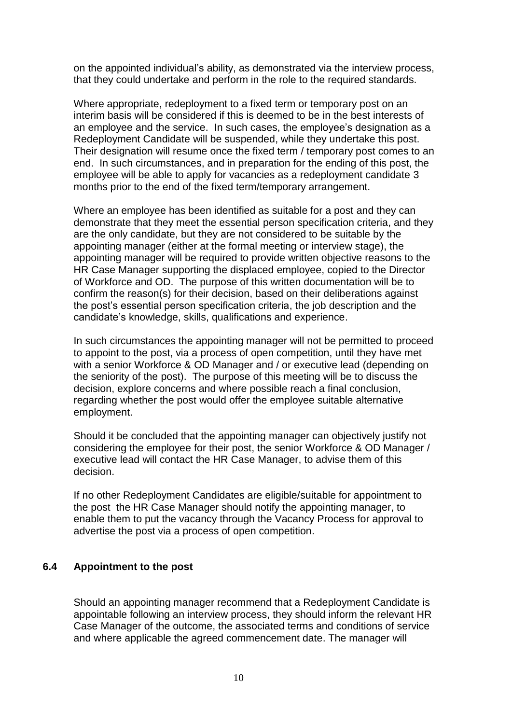on the appointed individual's ability, as demonstrated via the interview process, that they could undertake and perform in the role to the required standards.

Where appropriate, redeployment to a fixed term or temporary post on an interim basis will be considered if this is deemed to be in the best interests of an employee and the service. In such cases, the employee's designation as a Redeployment Candidate will be suspended, while they undertake this post. Their designation will resume once the fixed term / temporary post comes to an end. In such circumstances, and in preparation for the ending of this post, the employee will be able to apply for vacancies as a redeployment candidate 3 months prior to the end of the fixed term/temporary arrangement.

Where an employee has been identified as suitable for a post and they can demonstrate that they meet the essential person specification criteria, and they are the only candidate, but they are not considered to be suitable by the appointing manager (either at the formal meeting or interview stage), the appointing manager will be required to provide written objective reasons to the HR Case Manager supporting the displaced employee, copied to the Director of Workforce and OD. The purpose of this written documentation will be to confirm the reason(s) for their decision, based on their deliberations against the post's essential person specification criteria, the job description and the candidate's knowledge, skills, qualifications and experience.

In such circumstances the appointing manager will not be permitted to proceed to appoint to the post, via a process of open competition, until they have met with a senior Workforce & OD Manager and / or executive lead (depending on the seniority of the post). The purpose of this meeting will be to discuss the decision, explore concerns and where possible reach a final conclusion, regarding whether the post would offer the employee suitable alternative employment.

Should it be concluded that the appointing manager can objectively justify not considering the employee for their post, the senior Workforce & OD Manager / executive lead will contact the HR Case Manager, to advise them of this decision.

If no other Redeployment Candidates are eligible/suitable for appointment to the post the HR Case Manager should notify the appointing manager, to enable them to put the vacancy through the Vacancy Process for approval to advertise the post via a process of open competition.

#### **6.4 Appointment to the post**

Should an appointing manager recommend that a Redeployment Candidate is appointable following an interview process, they should inform the relevant HR Case Manager of the outcome, the associated terms and conditions of service and where applicable the agreed commencement date. The manager will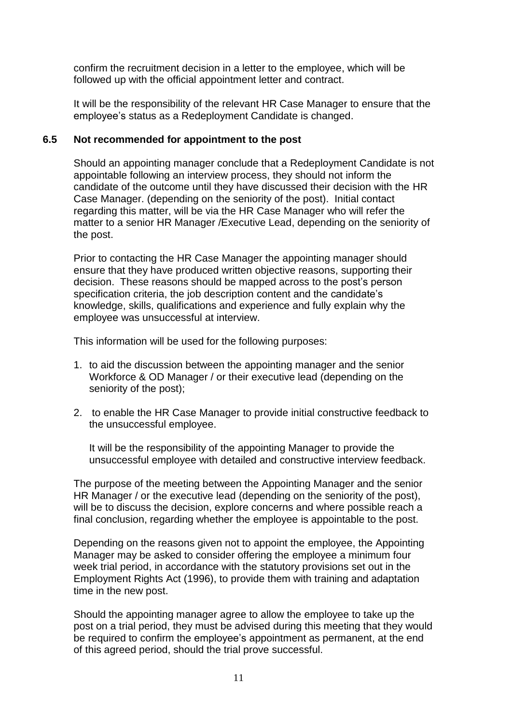confirm the recruitment decision in a letter to the employee, which will be followed up with the official appointment letter and contract.

It will be the responsibility of the relevant HR Case Manager to ensure that the employee's status as a Redeployment Candidate is changed.

### **6.5 Not recommended for appointment to the post**

Should an appointing manager conclude that a Redeployment Candidate is not appointable following an interview process, they should not inform the candidate of the outcome until they have discussed their decision with the HR Case Manager. (depending on the seniority of the post). Initial contact regarding this matter, will be via the HR Case Manager who will refer the matter to a senior HR Manager /Executive Lead, depending on the seniority of the post.

Prior to contacting the HR Case Manager the appointing manager should ensure that they have produced written objective reasons, supporting their decision. These reasons should be mapped across to the post's person specification criteria, the job description content and the candidate's knowledge, skills, qualifications and experience and fully explain why the employee was unsuccessful at interview.

This information will be used for the following purposes:

- 1. to aid the discussion between the appointing manager and the senior Workforce & OD Manager / or their executive lead (depending on the seniority of the post);
- 2. to enable the HR Case Manager to provide initial constructive feedback to the unsuccessful employee.

It will be the responsibility of the appointing Manager to provide the unsuccessful employee with detailed and constructive interview feedback.

The purpose of the meeting between the Appointing Manager and the senior HR Manager / or the executive lead (depending on the seniority of the post), will be to discuss the decision, explore concerns and where possible reach a final conclusion, regarding whether the employee is appointable to the post.

Depending on the reasons given not to appoint the employee, the Appointing Manager may be asked to consider offering the employee a minimum four week trial period, in accordance with the statutory provisions set out in the Employment Rights Act (1996), to provide them with training and adaptation time in the new post.

Should the appointing manager agree to allow the employee to take up the post on a trial period, they must be advised during this meeting that they would be required to confirm the employee's appointment as permanent, at the end of this agreed period, should the trial prove successful.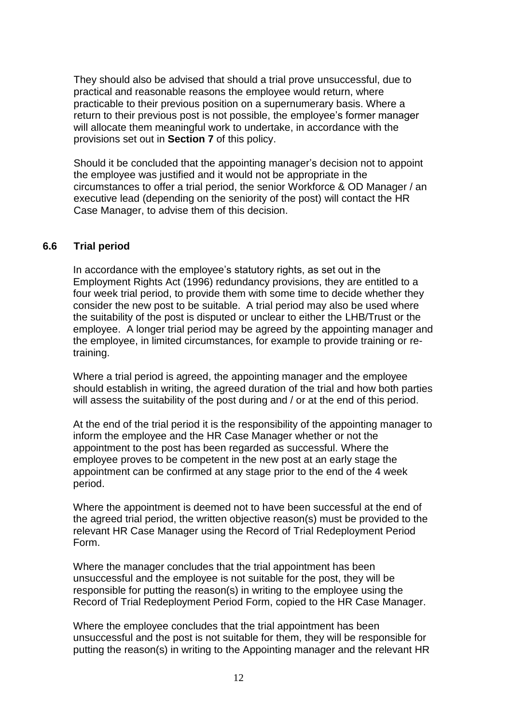They should also be advised that should a trial prove unsuccessful, due to practical and reasonable reasons the employee would return, where practicable to their previous position on a supernumerary basis. Where a return to their previous post is not possible, the employee's former manager will allocate them meaningful work to undertake, in accordance with the provisions set out in **Section 7** of this policy.

Should it be concluded that the appointing manager's decision not to appoint the employee was justified and it would not be appropriate in the circumstances to offer a trial period, the senior Workforce & OD Manager / an executive lead (depending on the seniority of the post) will contact the HR Case Manager, to advise them of this decision.

#### **6.6 Trial period**

In accordance with the employee's statutory rights, as set out in the Employment Rights Act (1996) redundancy provisions, they are entitled to a four week trial period, to provide them with some time to decide whether they consider the new post to be suitable. A trial period may also be used where the suitability of the post is disputed or unclear to either the LHB/Trust or the employee. A longer trial period may be agreed by the appointing manager and the employee, in limited circumstances, for example to provide training or retraining.

Where a trial period is agreed, the appointing manager and the employee should establish in writing, the agreed duration of the trial and how both parties will assess the suitability of the post during and / or at the end of this period.

At the end of the trial period it is the responsibility of the appointing manager to inform the employee and the HR Case Manager whether or not the appointment to the post has been regarded as successful. Where the employee proves to be competent in the new post at an early stage the appointment can be confirmed at any stage prior to the end of the 4 week period.

Where the appointment is deemed not to have been successful at the end of the agreed trial period, the written objective reason(s) must be provided to the relevant HR Case Manager using the Record of Trial Redeployment Period Form.

Where the manager concludes that the trial appointment has been unsuccessful and the employee is not suitable for the post, they will be responsible for putting the reason(s) in writing to the employee using the Record of Trial Redeployment Period Form, copied to the HR Case Manager.

Where the employee concludes that the trial appointment has been unsuccessful and the post is not suitable for them, they will be responsible for putting the reason(s) in writing to the Appointing manager and the relevant HR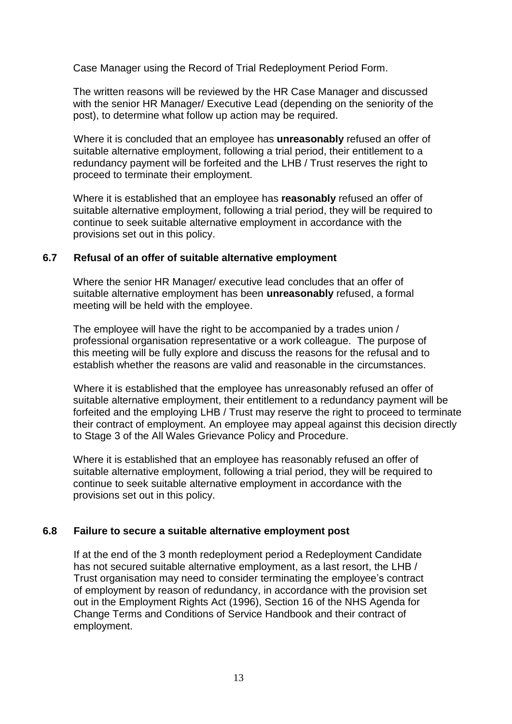Case Manager using the Record of Trial Redeployment Period Form.

The written reasons will be reviewed by the HR Case Manager and discussed with the senior HR Manager/ Executive Lead (depending on the seniority of the post), to determine what follow up action may be required.

Where it is concluded that an employee has **unreasonably** refused an offer of suitable alternative employment, following a trial period, their entitlement to a redundancy payment will be forfeited and the LHB / Trust reserves the right to proceed to terminate their employment.

Where it is established that an employee has **reasonably** refused an offer of suitable alternative employment, following a trial period, they will be required to continue to seek suitable alternative employment in accordance with the provisions set out in this policy.

#### **6.7 Refusal of an offer of suitable alternative employment**

Where the senior HR Manager/ executive lead concludes that an offer of suitable alternative employment has been **unreasonably** refused, a formal meeting will be held with the employee.

The employee will have the right to be accompanied by a trades union / professional organisation representative or a work colleague. The purpose of this meeting will be fully explore and discuss the reasons for the refusal and to establish whether the reasons are valid and reasonable in the circumstances.

Where it is established that the employee has unreasonably refused an offer of suitable alternative employment, their entitlement to a redundancy payment will be forfeited and the employing LHB / Trust may reserve the right to proceed to terminate their contract of employment. An employee may appeal against this decision directly to Stage 3 of the All Wales Grievance Policy and Procedure.

Where it is established that an employee has reasonably refused an offer of suitable alternative employment, following a trial period, they will be required to continue to seek suitable alternative employment in accordance with the provisions set out in this policy.

#### **6.8 Failure to secure a suitable alternative employment post**

If at the end of the 3 month redeployment period a Redeployment Candidate has not secured suitable alternative employment, as a last resort, the LHB / Trust organisation may need to consider terminating the employee's contract of employment by reason of redundancy, in accordance with the provision set out in the Employment Rights Act (1996), Section 16 of the NHS Agenda for Change Terms and Conditions of Service Handbook and their contract of employment.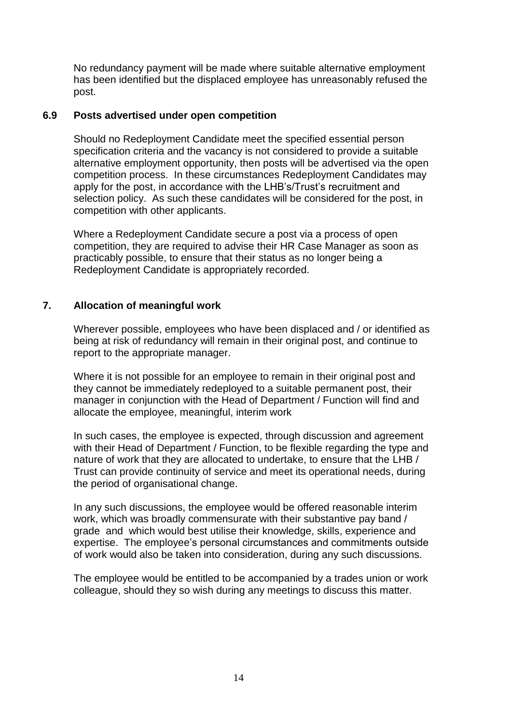No redundancy payment will be made where suitable alternative employment has been identified but the displaced employee has unreasonably refused the post.

#### **6.9 Posts advertised under open competition**

Should no Redeployment Candidate meet the specified essential person specification criteria and the vacancy is not considered to provide a suitable alternative employment opportunity, then posts will be advertised via the open competition process. In these circumstances Redeployment Candidates may apply for the post, in accordance with the LHB's/Trust's recruitment and selection policy. As such these candidates will be considered for the post, in competition with other applicants.

Where a Redeployment Candidate secure a post via a process of open competition, they are required to advise their HR Case Manager as soon as practicably possible, to ensure that their status as no longer being a Redeployment Candidate is appropriately recorded.

## **7. Allocation of meaningful work**

Wherever possible, employees who have been displaced and / or identified as being at risk of redundancy will remain in their original post, and continue to report to the appropriate manager.

Where it is not possible for an employee to remain in their original post and they cannot be immediately redeployed to a suitable permanent post, their manager in conjunction with the Head of Department / Function will find and allocate the employee, meaningful, interim work

In such cases, the employee is expected, through discussion and agreement with their Head of Department / Function, to be flexible regarding the type and nature of work that they are allocated to undertake, to ensure that the LHB / Trust can provide continuity of service and meet its operational needs, during the period of organisational change.

In any such discussions, the employee would be offered reasonable interim work, which was broadly commensurate with their substantive pay band / grade and which would best utilise their knowledge, skills, experience and expertise. The employee's personal circumstances and commitments outside of work would also be taken into consideration, during any such discussions.

The employee would be entitled to be accompanied by a trades union or work colleague, should they so wish during any meetings to discuss this matter.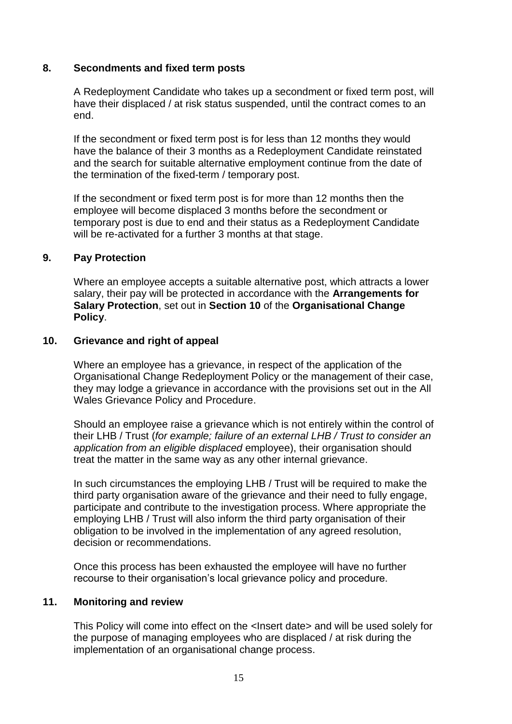#### **8. Secondments and fixed term posts**

A Redeployment Candidate who takes up a secondment or fixed term post, will have their displaced / at risk status suspended, until the contract comes to an end.

If the secondment or fixed term post is for less than 12 months they would have the balance of their 3 months as a Redeployment Candidate reinstated and the search for suitable alternative employment continue from the date of the termination of the fixed-term / temporary post.

If the secondment or fixed term post is for more than 12 months then the employee will become displaced 3 months before the secondment or temporary post is due to end and their status as a Redeployment Candidate will be re-activated for a further 3 months at that stage.

#### **9. Pay Protection**

Where an employee accepts a suitable alternative post, which attracts a lower salary, their pay will be protected in accordance with the **Arrangements for Salary Protection**, set out in **Section 10** of the **Organisational Change Policy**.

#### **10. Grievance and right of appeal**

Where an employee has a grievance, in respect of the application of the Organisational Change Redeployment Policy or the management of their case, they may lodge a grievance in accordance with the provisions set out in the All Wales Grievance Policy and Procedure.

Should an employee raise a grievance which is not entirely within the control of their LHB / Trust (*for example; failure of an external LHB / Trust to consider an application from an eligible displaced* employee), their organisation should treat the matter in the same way as any other internal grievance.

In such circumstances the employing LHB / Trust will be required to make the third party organisation aware of the grievance and their need to fully engage, participate and contribute to the investigation process. Where appropriate the employing LHB / Trust will also inform the third party organisation of their obligation to be involved in the implementation of any agreed resolution, decision or recommendations.

Once this process has been exhausted the employee will have no further recourse to their organisation's local grievance policy and procedure.

#### **11. Monitoring and review**

This Policy will come into effect on the <Insert date> and will be used solely for the purpose of managing employees who are displaced / at risk during the implementation of an organisational change process.